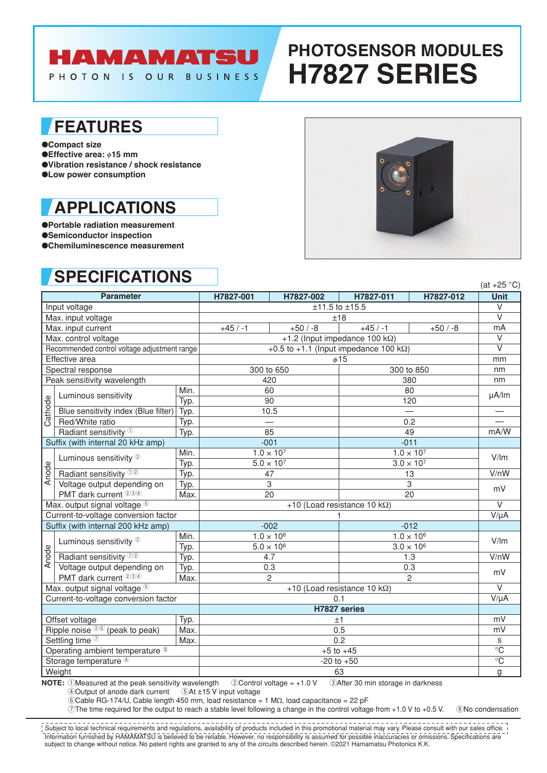# **HAMAMATSU**

PHOTON IS OUR BUSINESS

# **PHOTOSENSOR MODULES H7827 SERIES**

### **FEATURES**

●**Compact size**

●**Effective area:**  $\phi$ **15 mm** ●**Vibration resistance / shock resistance** ●**Low power consumption**

## **APPLICATIONS**

●**Portable radiation measurement** ●**Semiconductor inspection** ●**Chemiluminescence measurement**

## **SPECIFICATIONS**



|                                              | .                                    |      |                                                |           |                     |                      | (at $+25$ °C)           |  |
|----------------------------------------------|--------------------------------------|------|------------------------------------------------|-----------|---------------------|----------------------|-------------------------|--|
| <b>Parameter</b>                             |                                      |      | H7827-001                                      | H7827-002 | H7827-011           | H7827-012            | <b>Unit</b>             |  |
| Input voltage                                |                                      |      | ±11.5 to ±15.5                                 |           |                     |                      | $\overline{\mathsf{v}}$ |  |
| Max. input voltage                           |                                      |      | ±18                                            |           |                     | $\overline{\vee}$    |                         |  |
| Max. input current                           |                                      |      | $+45/ -1$                                      | $+50/ -8$ | $+45/ -1$           | $+50/ -8$            | mA                      |  |
| Max. control voltage                         |                                      |      | +1.2 (Input impedance 100 k $\Omega$ )         |           |                     | $\vee$               |                         |  |
| Recommended control voltage adjustment range |                                      |      | +0.5 to +1.1 (Input impedance 100 k $\Omega$ ) |           |                     |                      | $\overline{V}$          |  |
| Effective area                               |                                      |      | $\phi$ 15                                      |           |                     |                      | mm                      |  |
| Spectral response                            |                                      |      | 300 to 650                                     |           | 300 to 850          |                      | nm                      |  |
| Peak sensitivity wavelength                  |                                      |      | 420                                            |           | 380                 |                      | nm                      |  |
| Cathode                                      | Luminous sensitivity                 | Min. |                                                | 60<br>80  |                     |                      | µA/lm                   |  |
|                                              |                                      | Typ. | 90                                             |           | 120                 |                      |                         |  |
|                                              | Blue sensitivity index (Blue filter) | Typ. | 10.5                                           |           |                     |                      |                         |  |
|                                              | Red/White ratio                      | Typ. |                                                |           | 0.2                 |                      |                         |  |
|                                              | Radiant sensitivity <sup>10</sup>    | Typ. | 85                                             |           | 49                  |                      | mA/W                    |  |
| Suffix (with internal 20 kHz amp)            |                                      |      | $-001$                                         |           | $-011$              |                      |                         |  |
| Anode                                        | Luminous sensitivity 2               | Min. | $1.0 \times 10^{7}$                            |           | $1.0 \times 10^{7}$ |                      | V/Im                    |  |
|                                              |                                      | Typ. | $5.0\times10^7$                                |           | $3.0 \times 10^{7}$ |                      |                         |  |
|                                              | Radiant sensitivity 02               | Typ. | 47                                             |           | 13                  |                      | $\overline{V/n}W$       |  |
|                                              | Voltage output depending on          | Typ. | 3                                              |           | 3                   |                      | mV                      |  |
|                                              | PMT dark current 234                 | Max. | 20                                             |           | 20                  |                      |                         |  |
| Max. output signal voltage 5                 |                                      |      | +10 (Load resistance 10 k $\Omega$ )           |           |                     |                      | $\vee$                  |  |
|                                              | Current-to-voltage conversion factor |      |                                                |           |                     | $V/\mu A$            |                         |  |
| Suffix (with internal 200 kHz amp)           |                                      |      | $-002$                                         |           | $-012$              |                      |                         |  |
| Anode                                        | Luminous sensitivity 2               | Min. | $1.0 \times 10^{6}$                            |           | $1.0 \times 10^{6}$ |                      | V/Im                    |  |
|                                              |                                      | Typ. | $5.0 \times 10^6$                              |           |                     | $3.0 \times 10^{6}$  |                         |  |
|                                              | Radiant sensitivity 02               | Typ. | 4.7                                            |           |                     | 1.3                  | V/nW                    |  |
|                                              | Voltage output depending on          | Typ. | 0.3                                            |           |                     | 0.3                  | mV                      |  |
|                                              | PMT dark current 234                 | Max. | $\overline{2}$                                 |           |                     | $\overline{2}$       |                         |  |
| Max. output signal voltage 5                 |                                      |      | +10 (Load resistance 10 k $\Omega$ )           |           |                     |                      | $\overline{\vee}$       |  |
| Current-to-voltage conversion factor         |                                      |      | 0.1                                            |           |                     |                      | $V/\mu A$               |  |
|                                              |                                      |      | H7827 series                                   |           |                     |                      |                         |  |
| Offset voltage<br>Typ.                       |                                      |      | ±1                                             |           |                     | mV                   |                         |  |
| Ripple noise $26$ (peak to peak)<br>Max.     |                                      |      | 0.5                                            |           |                     | mV                   |                         |  |
| Settling time 2<br>Max.                      |                                      |      | 0.2                                            |           |                     | S                    |                         |  |
| Operating ambient temperature ®              |                                      |      | $+5$ to $+45$                                  |           |                     | $\overline{\circ}$ C |                         |  |
| Storage temperature <sup>®</sup>             |                                      |      | $-20$ to $+50$                                 |           |                     | $\overline{\circ}$ C |                         |  |
| Weight                                       |                                      |      | 63                                             |           |                     | g                    |                         |  |

**NOTE:** 1Measured at the peak sensitivity wavelength 2Control voltage = +1.0 V 3After 30 min storage in darkness 4Output of anode dark current 5At ±15 V input voltage 4 Output of anode dark current

6Cable RG-174/U, Cable length 450 mm, load resistance = 1 MΩ, load capacitance = 22 pF

 $\overline{O}$ The time required for the output to reach a stable level following a change in the control voltage from +1.0 V to +0.5 V.  $\circledR$ No condensation

Information furnished by HAMAMATSU is believed to be reliable. However, no responsibility is assumed for possible inaccuracies or omissions. Specifications are subject to change without notice. No patent rights are granted to any of the circuits described herein. ©2021 Hamamatsu Photonics K.K. Subject to local technical requirements and regulations, availability of products included in this promotional material may vary. Please consult with our sales office.